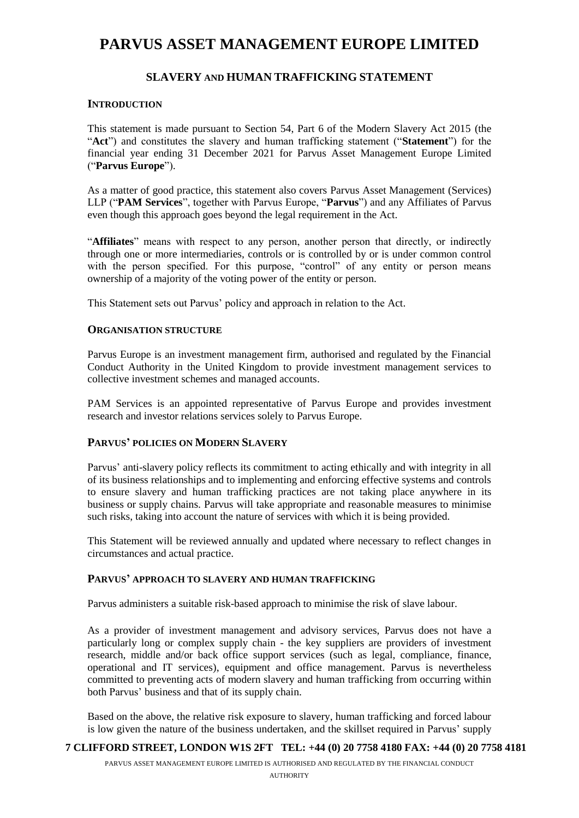# **PARVUS ASSET MANAGEMENT EUROPE LIMITED**

# **SLAVERY AND HUMAN TRAFFICKING STATEMENT**

## **INTRODUCTION**

This statement is made pursuant to Section 54, Part 6 of the Modern Slavery Act 2015 (the "**Act**") and constitutes the slavery and human trafficking statement ("**Statement**") for the financial year ending 31 December 2021 for Parvus Asset Management Europe Limited ("**Parvus Europe**").

As a matter of good practice, this statement also covers Parvus Asset Management (Services) LLP ("**PAM Services**", together with Parvus Europe, "**Parvus**") and any Affiliates of Parvus even though this approach goes beyond the legal requirement in the Act.

"**Affiliates**" means with respect to any person, another person that directly, or indirectly through one or more intermediaries, controls or is controlled by or is under common control with the person specified. For this purpose, "control" of any entity or person means ownership of a majority of the voting power of the entity or person.

This Statement sets out Parvus' policy and approach in relation to the Act.

#### **ORGANISATION STRUCTURE**

Parvus Europe is an investment management firm, authorised and regulated by the Financial Conduct Authority in the United Kingdom to provide investment management services to collective investment schemes and managed accounts.

PAM Services is an appointed representative of Parvus Europe and provides investment research and investor relations services solely to Parvus Europe.

## **PARVUS' POLICIES ON MODERN SLAVERY**

Parvus' anti-slavery policy reflects its commitment to acting ethically and with integrity in all of its business relationships and to implementing and enforcing effective systems and controls to ensure slavery and human trafficking practices are not taking place anywhere in its business or supply chains. Parvus will take appropriate and reasonable measures to minimise such risks, taking into account the nature of services with which it is being provided.

This Statement will be reviewed annually and updated where necessary to reflect changes in circumstances and actual practice.

# **PARVUS' APPROACH TO SLAVERY AND HUMAN TRAFFICKING**

Parvus administers a suitable risk-based approach to minimise the risk of slave labour.

As a provider of investment management and advisory services, Parvus does not have a particularly long or complex supply chain - the key suppliers are providers of investment research, middle and/or back office support services (such as legal, compliance, finance, operational and IT services), equipment and office management. Parvus is nevertheless committed to preventing acts of modern slavery and human trafficking from occurring within both Parvus' business and that of its supply chain.

Based on the above, the relative risk exposure to slavery, human trafficking and forced labour is low given the nature of the business undertaken, and the skillset required in Parvus' supply

#### **7 CLIFFORD STREET, LONDON W1S 2FT TEL: +44 (0) 20 7758 4180 FAX: +44 (0) 20 7758 4181**

PARVUS ASSET MANAGEMENT EUROPE LIMITED IS AUTHORISED AND REGULATED BY THE FINANCIAL CONDUCT